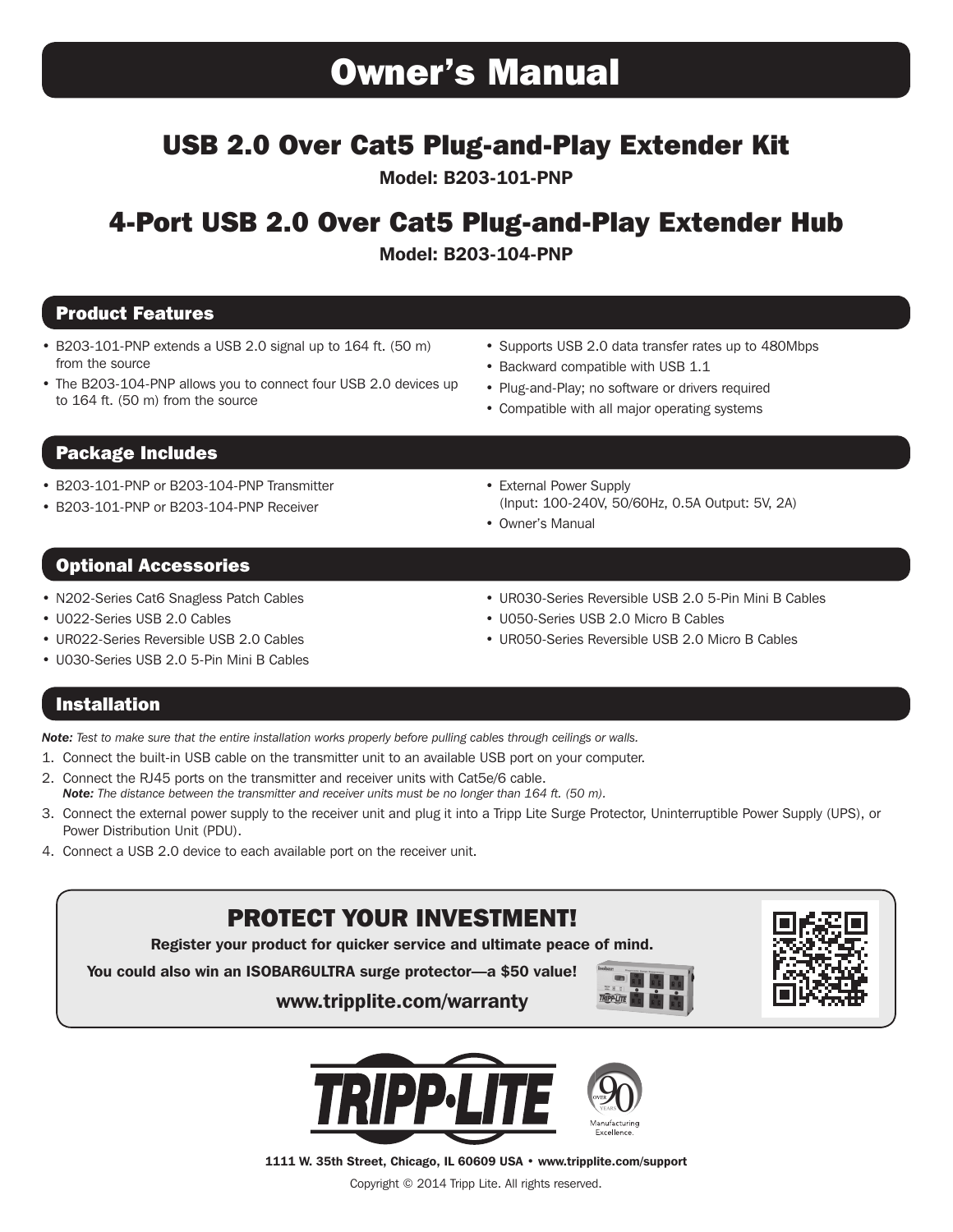# Owner's Manual

# USB 2.0 Over Cat5 Plug-and-Play Extender Kit

Model: B203-101-PNP

# 4-Port USB 2.0 Over Cat5 Plug-and-Play Extender Hub

Model: B203-104-PNP

## Product Features

- B203-101-PNP extends a USB 2.0 signal up to 164 ft. (50 m) from the source
- The B203-104-PNP allows you to connect four USB 2.0 devices up to 164 ft. (50 m) from the source
- Supports USB 2.0 data transfer rates up to 480Mbps
- Backward compatible with USB 1.1
- Plug-and-Play; no software or drivers required
- Compatible with all major operating systems

## Package Includes

- B203-101-PNP or B203-104-PNP Transmitter
- B203-101-PNP or B203-104-PNP Receiver

• External Power Supply (Input: 100-240V, 50/60Hz, 0.5A Output: 5V, 2A)

## Optional Accessories

- N202-Series Cat6 Snagless Patch Cables
- U022-Series USB 2.0 Cables
- UR022-Series Reversible USB 2.0 Cables
- U030-Series USB 2.0 5-Pin Mini B Cables
- UR030-Series Reversible USB 2.0 5-Pin Mini B Cables
- U050-Series USB 2.0 Micro B Cables
- UR050-Series Reversible USB 2.0 Micro B Cables

## Installation

*Note: Test to make sure that the entire installation works properly before pulling cables through ceilings or walls.*

- 1. Connect the built-in USB cable on the transmitter unit to an available USB port on your computer.
- 2. Connect the RJ45 ports on the transmitter and receiver units with Cat5e/6 cable. *Note: The distance between the transmitter and receiver units must be no longer than 164 ft. (50 m).*
- 3. Connect the external power supply to the receiver unit and plug it into a Tripp Lite Surge Protector, Uninterruptible Power Supply (UPS), or Power Distribution Unit (PDU).
- 4. Connect a USB 2.0 device to each available port on the receiver unit.

## PROTECT YOUR INVESTMENT!

Register your product for quicker service and ultimate peace of mind.

You could also win an ISOBAR6ULTRA surge protector—a \$50 value!

www.tripplite.com/warranty







1111 W. 35th Street, Chicago, IL 60609 USA • www.tripplite.com/support

Copyright © 2014 Tripp Lite. All rights reserved.

- 
- Owner's Manual